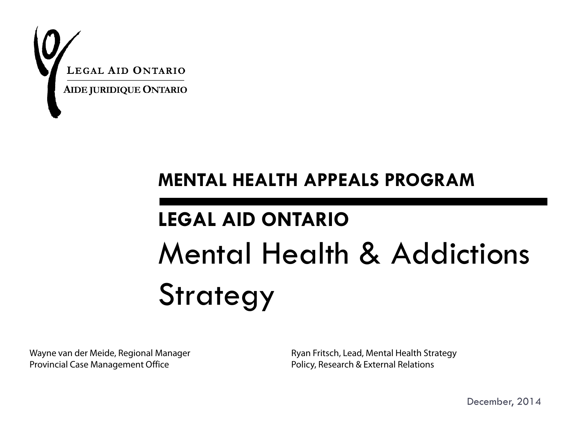

### **MENTAL HEALTH APPEALS PROGRAM**

# **LEGAL AID ONTARIO** Mental Health & Addictions Strategy

Wayne van der Meide, Regional Manager Provincial Case Management Office

Ryan Fritsch, Lead, Mental Health Strategy Policy, Research & External Relations

December, 2014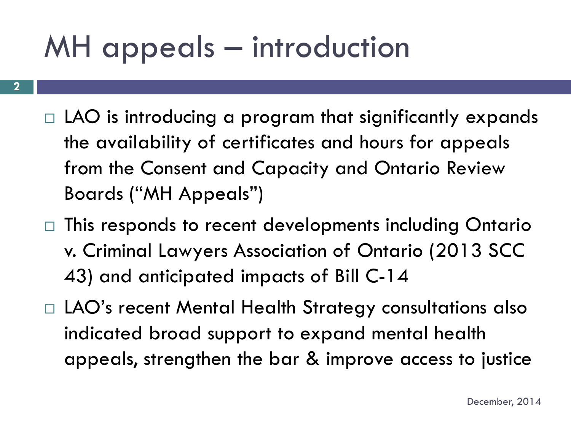## MH appeals – introduction

- **2**
- $\Box$  LAO is introducing a program that significantly expands the availability of certificates and hours for appeals from the Consent and Capacity and Ontario Review Boards ("MH Appeals")
- $\Box$  This responds to recent developments including Ontario v. Criminal Lawyers Association of Ontario (2013 SCC 43) and anticipated impacts of Bill C-14
- □ LAO's recent Mental Health Strategy consultations also indicated broad support to expand mental health appeals, strengthen the bar & improve access to justice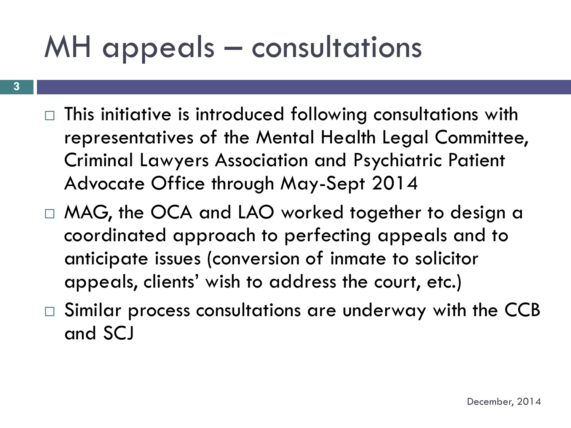## MH appeals – consultations

- **3**
- $\Box$  This initiative is introduced following consultations with representatives of the Mental Health Legal Committee, Criminal Lawyers Association and Psychiatric Patient Advocate Office through May-Sept 2014
- $\Box$  MAG, the OCA and LAO worked together to design a coordinated approach to perfecting appeals and to anticipate issues (conversion of inmate to solicitor appeals, clients' wish to address the court, etc.)
- □ Similar process consultations are underway with the CCB and SCJ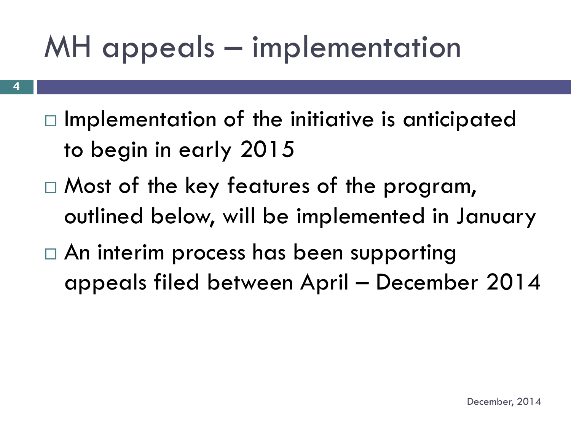# MH appeals – implementation

- $\Box$  Implementation of the initiative is anticipated to begin in early 2015
- □ Most of the key features of the program, outlined below, will be implemented in January
- An interim process has been supporting appeals filed between April – December 2014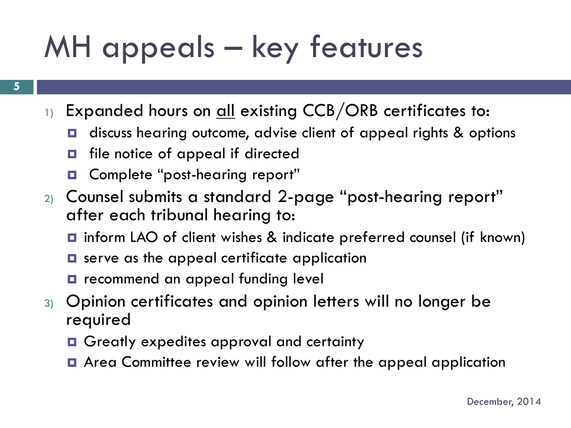# MH appeals – key features

- 1) Expanded hours on all existing CCB/ORB certificates to:
	- **□** discuss hearing outcome, advise client of appeal rights & options
	- $\blacksquare$  file notice of appeal if directed
	- **D** Complete "post-hearing report"
- 2) Counsel submits a standard 2-page "post-hearing report" after each tribunal hearing to:
	- **□** inform LAO of client wishes & indicate preferred counsel (if known)
	- **□** serve as the appeal certificate application
	- $\blacksquare$  recommend an appeal funding level
- 3) Opinion certificates and opinion letters will no longer be required
	- **□** Greatly expedites approval and certainty
	- **E** Area Committee review will follow after the appeal application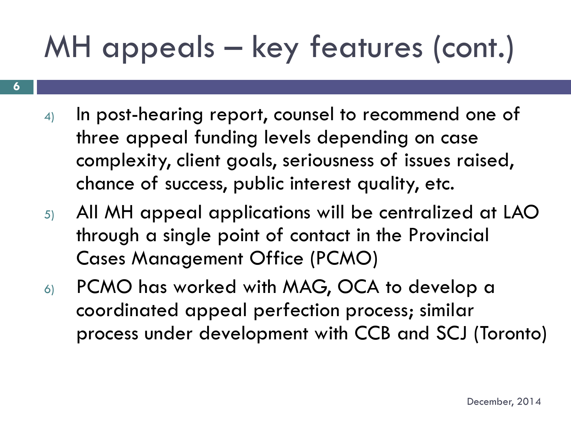# MH appeals – key features (cont.)

**6**

- 4) In post-hearing report, counsel to recommend one of three appeal funding levels depending on case complexity, client goals, seriousness of issues raised, chance of success, public interest quality, etc.
- 5) All MH appeal applications will be centralized at LAO through a single point of contact in the Provincial Cases Management Office (PCMO)
- 6) PCMO has worked with MAG, OCA to develop a coordinated appeal perfection process; similar process under development with CCB and SCJ (Toronto)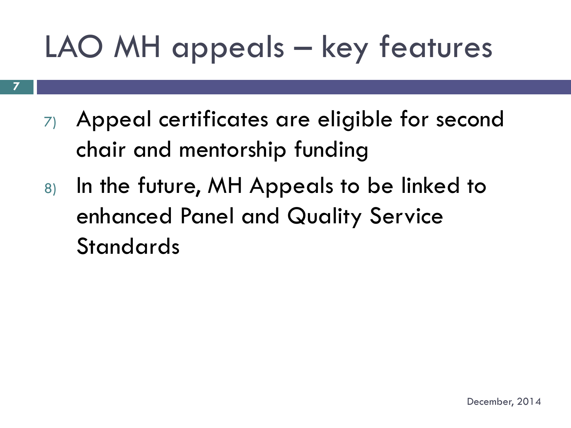# LAO MH appeals – key features

- 7) Appeal certificates are eligible for second chair and mentorship funding
- 8) In the future, MH Appeals to be linked to enhanced Panel and Quality Service **Standards**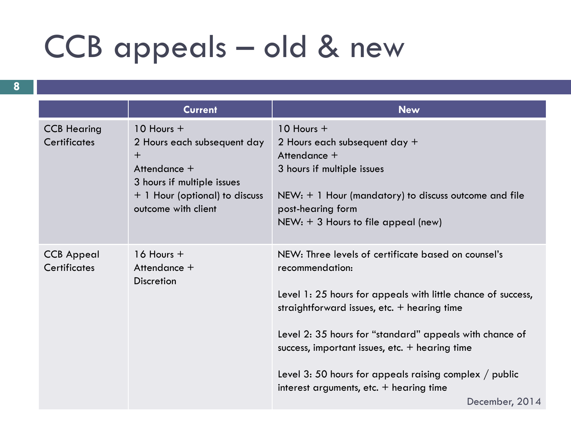## CCB appeals – old & new

**8**

|                                           | <b>Current</b>                                                                                                                                                    | <b>New</b>                                                                                                                                                                                                                                                                                                                                                                                                                                  |
|-------------------------------------------|-------------------------------------------------------------------------------------------------------------------------------------------------------------------|---------------------------------------------------------------------------------------------------------------------------------------------------------------------------------------------------------------------------------------------------------------------------------------------------------------------------------------------------------------------------------------------------------------------------------------------|
| <b>CCB Hearing</b><br><b>Certificates</b> | $10$ Hours $+$<br>2 Hours each subsequent day<br>$\ddot{}$<br>Attendance +<br>3 hours if multiple issues<br>+ 1 Hour (optional) to discuss<br>outcome with client | $10$ Hours $+$<br>2 Hours each subsequent day +<br>Attendance +<br>3 hours if multiple issues<br>$NEW: + 1$ Hour (mandatory) to discuss outcome and file<br>post-hearing form<br>$NEW: + 3$ Hours to file appeal (new)                                                                                                                                                                                                                      |
| <b>CCB Appeal</b><br><b>Certificates</b>  | $16$ Hours $+$<br>Attendance +<br><b>Discretion</b>                                                                                                               | NEW: Three levels of certificate based on counsel's<br>recommendation:<br>Level 1: 25 hours for appeals with little chance of success,<br>straightforward issues, etc. $+$ hearing time<br>Level 2: 35 hours for "standard" appeals with chance of<br>success, important issues, etc. $+$ hearing time<br>Level 3: 50 hours for appeals raising complex $\frac{1}{2}$ public<br>interest arguments, etc. $+$ hearing time<br>December, 2014 |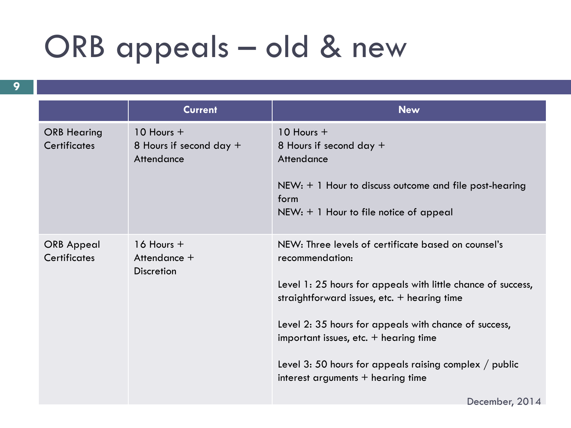## ORB appeals – old & new

|                                           | <b>Current</b>                                          | <b>New</b>                                                                                                                                                                                                                                                                                                                                                                                               |  |
|-------------------------------------------|---------------------------------------------------------|----------------------------------------------------------------------------------------------------------------------------------------------------------------------------------------------------------------------------------------------------------------------------------------------------------------------------------------------------------------------------------------------------------|--|
| <b>ORB Hearing</b><br><b>Certificates</b> | $10$ Hours $+$<br>8 Hours if second day +<br>Attendance | $10$ Hours $+$<br>8 Hours if second day $+$<br>Attendance<br>$NEW: + 1$ Hour to discuss outcome and file post-hearing<br>form<br>$NEW: + 1$ Hour to file notice of appeal                                                                                                                                                                                                                                |  |
| <b>ORB</b> Appeal<br>Certificates         | $16$ Hours $+$<br>Attendance +<br><b>Discretion</b>     | NEW: Three levels of certificate based on counsel's<br>recommendation:<br>Level 1: 25 hours for appeals with little chance of success,<br>straightforward issues, etc. $+$ hearing time<br>Level 2: 35 hours for appeals with chance of success,<br>important issues, etc. $+$ hearing time<br>Level 3: 50 hours for appeals raising complex $\frac{1}{2}$ public<br>interest arguments $+$ hearing time |  |

December, 2014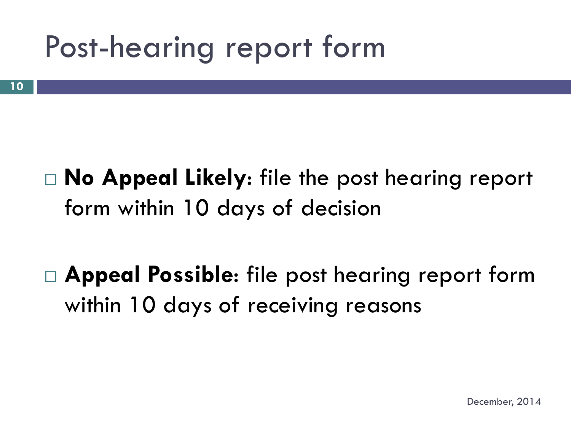## Post-hearing report form

## **No Appeal Likely**: file the post hearing report form within 10 days of decision

## **Appeal Possible**: file post hearing report form within 10 days of receiving reasons

December, 2014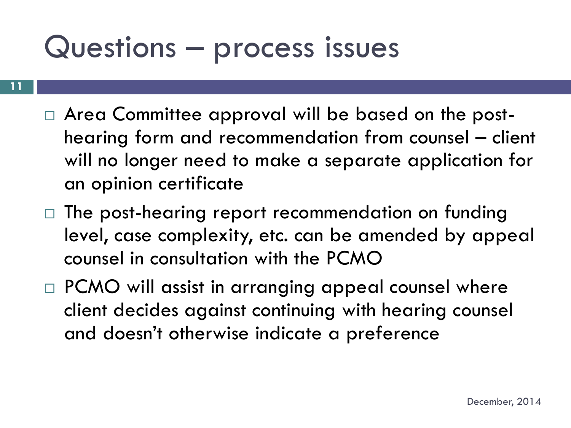## Questions – process issues

- Area Committee approval will be based on the posthearing form and recommendation from counsel – client will no longer need to make a separate application for an opinion certificate
- $\Box$  The post-hearing report recommendation on funding level, case complexity, etc. can be amended by appeal counsel in consultation with the PCMO
- $\Box$  PCMO will assist in arranging appeal counsel where client decides against continuing with hearing counsel and doesn't otherwise indicate a preference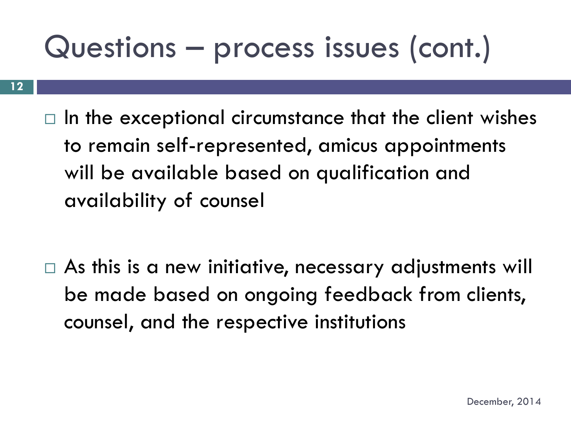## Questions – process issues (cont.)

 $\Box$  In the exceptional circumstance that the client wishes to remain self-represented, amicus appointments will be available based on qualification and availability of counsel

 $\Box$  As this is a new initiative, necessary adjustments will be made based on ongoing feedback from clients, counsel, and the respective institutions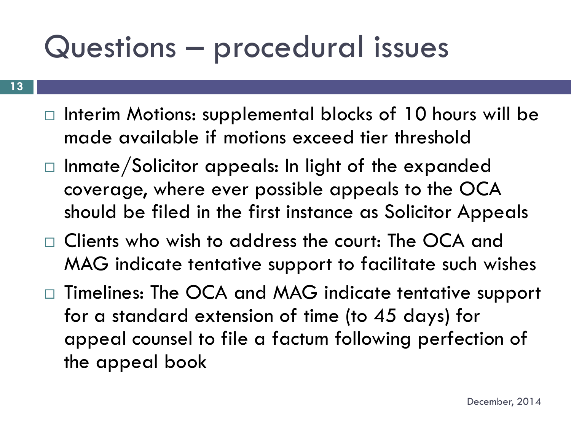## Questions – procedural issues

- $\Box$  Interim Motions: supplemental blocks of 10 hours will be made available if motions exceed tier threshold
- $\Box$  Inmate/Solicitor appeals: In light of the expanded coverage, where ever possible appeals to the OCA should be filed in the first instance as Solicitor Appeals
- Clients who wish to address the court: The OCA and MAG indicate tentative support to facilitate such wishes
- □ Timelines: The OCA and MAG indicate tentative support for a standard extension of time (to 45 days) for appeal counsel to file a factum following perfection of the appeal book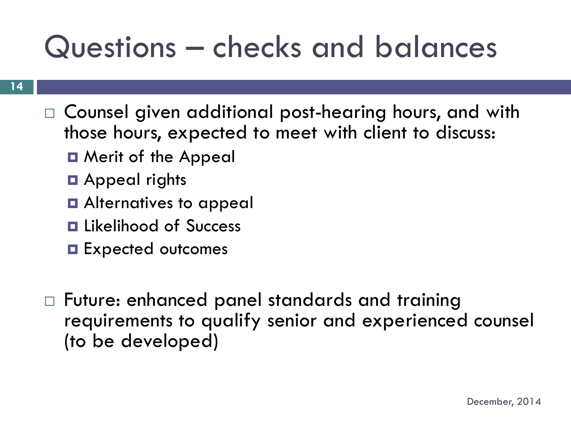## Questions – checks and balances

- Counsel given additional post-hearing hours, and with those hours, expected to meet with client to discuss:
	- **D** Merit of the Appeal
	- **D** Appeal rights
	- $\blacksquare$  Alternatives to appeal
	- **<u>E</u>** Likelihood of Success
	- **Expected outcomes**
- Future: enhanced panel standards and training requirements to qualify senior and experienced counsel (to be developed)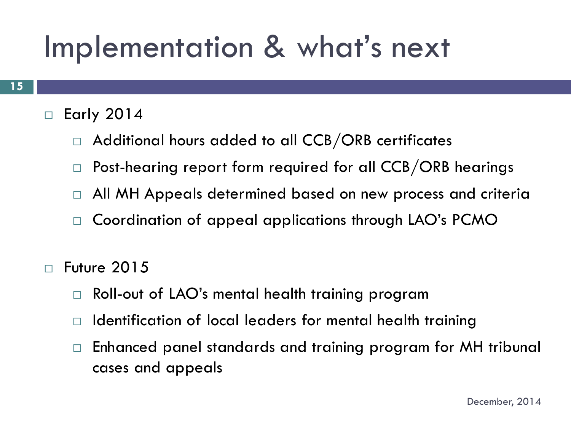## Implementation & what's next

#### $\Box$  Early 2014

- $\Box$  Additional hours added to all CCB/ORB certificates
- $\Box$  Post-hearing report form required for all CCB/ORB hearings
- $\Box$  All MH Appeals determined based on new process and criteria
- □ Coordination of appeal applications through LAO's PCMO
- $\Box$  Future 2015
	- □ Roll-out of LAO's mental health training program
	- $\Box$  Identification of local leaders for mental health training
	- $\Box$  Enhanced panel standards and training program for MH tribunal cases and appeals